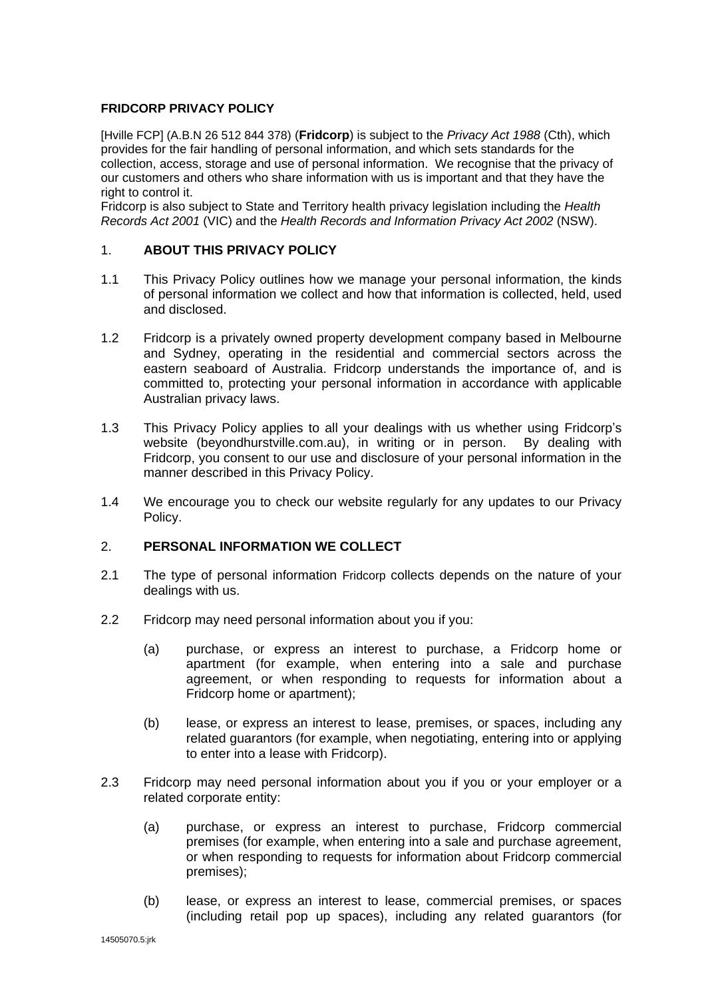## **FRIDCORP PRIVACY POLICY**

[Hville FCP] (A.B.N 26 512 844 378) (**Fridcorp**) is subject to the *Privacy Act 1988* (Cth), which provides for the fair handling of personal information, and which sets standards for the collection, access, storage and use of personal information. We recognise that the privacy of our customers and others who share information with us is important and that they have the right to control it.

Fridcorp is also subject to State and Territory health privacy legislation including the *Health Records Act 2001* (VIC) and the *Health Records and Information Privacy Act 2002* (NSW).

### 1. **ABOUT THIS PRIVACY POLICY**

- 1.1 This Privacy Policy outlines how we manage your personal information, the kinds of personal information we collect and how that information is collected, held, used and disclosed.
- 1.2 Fridcorp is a privately owned property development company based in Melbourne and Sydney, operating in the residential and commercial sectors across the eastern seaboard of Australia. Fridcorp understands the importance of, and is committed to, protecting your personal information in accordance with applicable Australian privacy laws.
- 1.3 This Privacy Policy applies to all your dealings with us whether using Fridcorp's website (beyondhurstville.com.au), in writing or in person. By dealing with Fridcorp, you consent to our use and disclosure of your personal information in the manner described in this Privacy Policy.
- 1.4 We encourage you to check our website regularly for any updates to our Privacy Policy.

#### 2. **PERSONAL INFORMATION WE COLLECT**

- 2.1 The type of personal information Fridcorp collects depends on the nature of your dealings with us.
- 2.2 Fridcorp may need personal information about you if you:
	- (a) purchase, or express an interest to purchase, a Fridcorp home or apartment (for example, when entering into a sale and purchase agreement, or when responding to requests for information about a Fridcorp home or apartment);
	- (b) lease, or express an interest to lease, premises, or spaces, including any related guarantors (for example, when negotiating, entering into or applying to enter into a lease with Fridcorp).
- 2.3 Fridcorp may need personal information about you if you or your employer or a related corporate entity:
	- (a) purchase, or express an interest to purchase, Fridcorp commercial premises (for example, when entering into a sale and purchase agreement, or when responding to requests for information about Fridcorp commercial premises);
	- (b) lease, or express an interest to lease, commercial premises, or spaces (including retail pop up spaces), including any related guarantors (for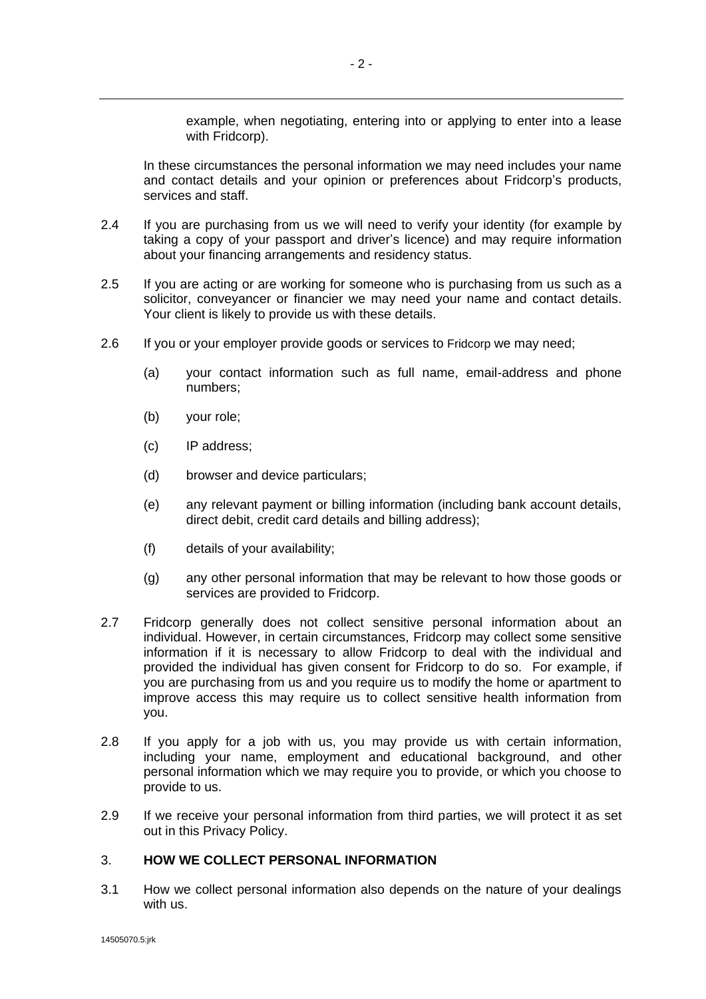example, when negotiating, entering into or applying to enter into a lease with Fridcorp).

In these circumstances the personal information we may need includes your name and contact details and your opinion or preferences about Fridcorp's products, services and staff.

- 2.4 If you are purchasing from us we will need to verify your identity (for example by taking a copy of your passport and driver's licence) and may require information about your financing arrangements and residency status.
- 2.5 If you are acting or are working for someone who is purchasing from us such as a solicitor, conveyancer or financier we may need your name and contact details. Your client is likely to provide us with these details.
- 2.6 If you or your employer provide goods or services to Fridcorp we may need;
	- (a) your contact information such as full name, email-address and phone numbers;
	- (b) your role;
	- (c) IP address;
	- (d) browser and device particulars;
	- (e) any relevant payment or billing information (including bank account details, direct debit, credit card details and billing address);
	- (f) details of your availability;
	- (g) any other personal information that may be relevant to how those goods or services are provided to Fridcorp.
- 2.7 Fridcorp generally does not collect sensitive personal information about an individual. However, in certain circumstances, Fridcorp may collect some sensitive information if it is necessary to allow Fridcorp to deal with the individual and provided the individual has given consent for Fridcorp to do so. For example, if you are purchasing from us and you require us to modify the home or apartment to improve access this may require us to collect sensitive health information from you.
- 2.8 If you apply for a job with us, you may provide us with certain information, including your name, employment and educational background, and other personal information which we may require you to provide, or which you choose to provide to us.
- 2.9 If we receive your personal information from third parties, we will protect it as set out in this Privacy Policy.

# 3. **HOW WE COLLECT PERSONAL INFORMATION**

3.1 How we collect personal information also depends on the nature of your dealings with us.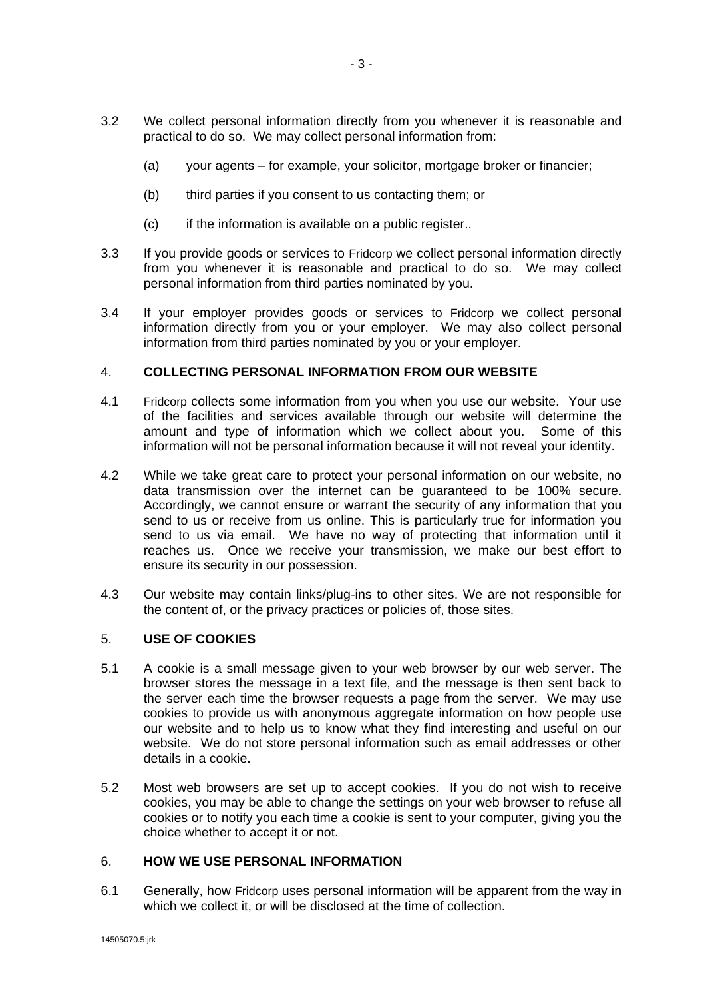- 3.2 We collect personal information directly from you whenever it is reasonable and practical to do so. We may collect personal information from:
	- (a) your agents for example, your solicitor, mortgage broker or financier;
	- (b) third parties if you consent to us contacting them; or
	- (c) if the information is available on a public register..
- 3.3 If you provide goods or services to Fridcorp we collect personal information directly from you whenever it is reasonable and practical to do so. We may collect personal information from third parties nominated by you.
- 3.4 If your employer provides goods or services to Fridcorp we collect personal information directly from you or your employer. We may also collect personal information from third parties nominated by you or your employer.

## 4. **COLLECTING PERSONAL INFORMATION FROM OUR WEBSITE**

- 4.1 Fridcorp collects some information from you when you use our website. Your use of the facilities and services available through our website will determine the amount and type of information which we collect about you. Some of this information will not be personal information because it will not reveal your identity.
- 4.2 While we take great care to protect your personal information on our website, no data transmission over the internet can be guaranteed to be 100% secure. Accordingly, we cannot ensure or warrant the security of any information that you send to us or receive from us online. This is particularly true for information you send to us via email. We have no way of protecting that information until it reaches us. Once we receive your transmission, we make our best effort to ensure its security in our possession.
- 4.3 Our website may contain links/plug-ins to other sites. We are not responsible for the content of, or the privacy practices or policies of, those sites.

#### 5. **USE OF COOKIES**

- 5.1 A cookie is a small message given to your web browser by our web server. The browser stores the message in a text file, and the message is then sent back to the server each time the browser requests a page from the server. We may use cookies to provide us with anonymous aggregate information on how people use our website and to help us to know what they find interesting and useful on our website. We do not store personal information such as email addresses or other details in a cookie.
- 5.2 Most web browsers are set up to accept cookies. If you do not wish to receive cookies, you may be able to change the settings on your web browser to refuse all cookies or to notify you each time a cookie is sent to your computer, giving you the choice whether to accept it or not.

#### 6. **HOW WE USE PERSONAL INFORMATION**

6.1 Generally, how Fridcorp uses personal information will be apparent from the way in which we collect it, or will be disclosed at the time of collection.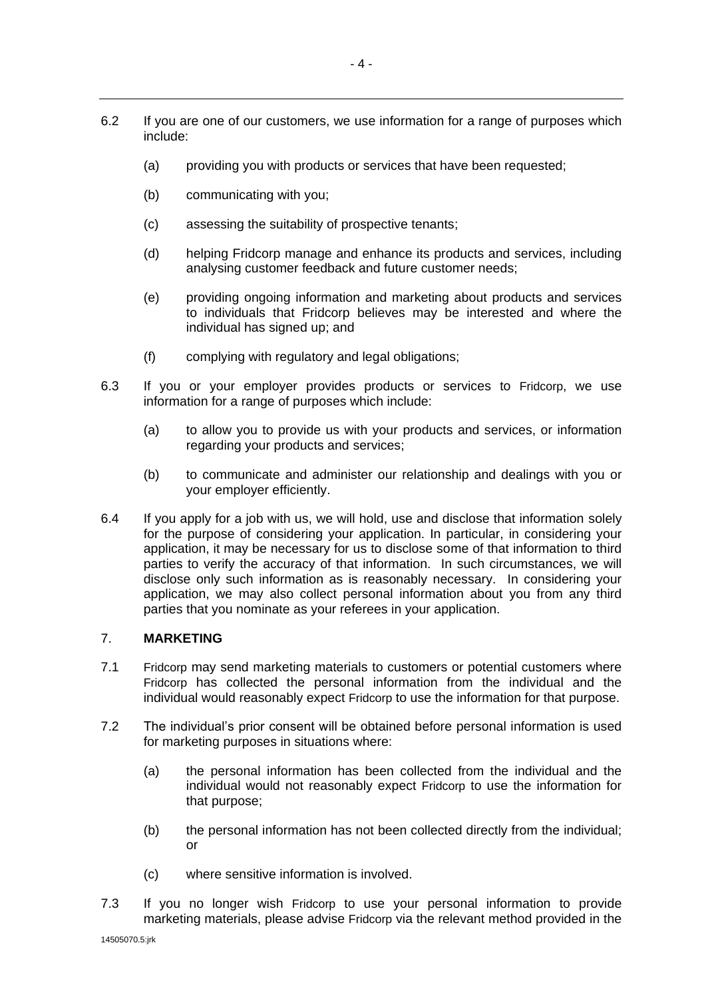- (a) providing you with products or services that have been requested;
- (b) communicating with you;
- (c) assessing the suitability of prospective tenants;
- (d) helping Fridcorp manage and enhance its products and services, including analysing customer feedback and future customer needs;
- (e) providing ongoing information and marketing about products and services to individuals that Fridcorp believes may be interested and where the individual has signed up; and
- (f) complying with regulatory and legal obligations;
- 6.3 If you or your employer provides products or services to Fridcorp, we use information for a range of purposes which include:
	- (a) to allow you to provide us with your products and services, or information regarding your products and services;
	- (b) to communicate and administer our relationship and dealings with you or your employer efficiently.
- 6.4 If you apply for a job with us, we will hold, use and disclose that information solely for the purpose of considering your application. In particular, in considering your application, it may be necessary for us to disclose some of that information to third parties to verify the accuracy of that information. In such circumstances, we will disclose only such information as is reasonably necessary. In considering your application, we may also collect personal information about you from any third parties that you nominate as your referees in your application.

#### 7. **MARKETING**

- 7.1 Fridcorp may send marketing materials to customers or potential customers where Fridcorp has collected the personal information from the individual and the individual would reasonably expect Fridcorp to use the information for that purpose.
- 7.2 The individual's prior consent will be obtained before personal information is used for marketing purposes in situations where:
	- (a) the personal information has been collected from the individual and the individual would not reasonably expect Fridcorp to use the information for that purpose;
	- (b) the personal information has not been collected directly from the individual; or
	- (c) where sensitive information is involved.
- 7.3 If you no longer wish Fridcorp to use your personal information to provide marketing materials, please advise Fridcorp via the relevant method provided in the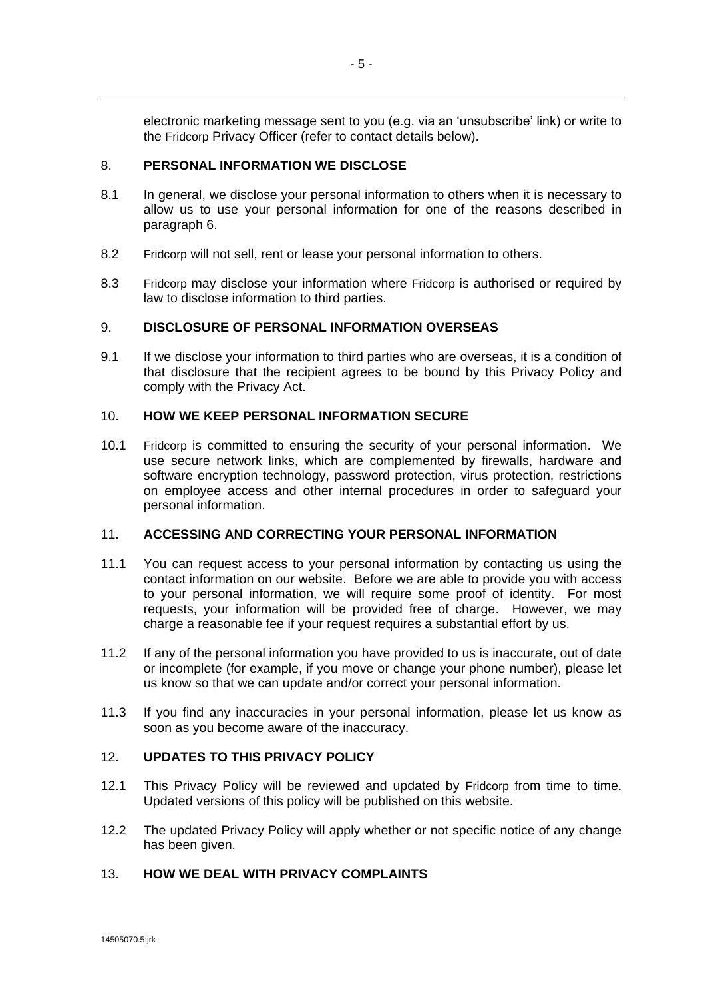electronic marketing message sent to you (e.g. via an 'unsubscribe' link) or write to the Fridcorp Privacy Officer (refer to contact details below).

## 8. **PERSONAL INFORMATION WE DISCLOSE**

- 8.1 In general, we disclose your personal information to others when it is necessary to allow us to use your personal information for one of the reasons described in paragraph 6.
- 8.2 Fridcorp will not sell, rent or lease your personal information to others.
- 8.3 Fridcorp may disclose your information where Fridcorp is authorised or required by law to disclose information to third parties.

## 9. **DISCLOSURE OF PERSONAL INFORMATION OVERSEAS**

9.1 If we disclose your information to third parties who are overseas, it is a condition of that disclosure that the recipient agrees to be bound by this Privacy Policy and comply with the Privacy Act.

## 10. **HOW WE KEEP PERSONAL INFORMATION SECURE**

10.1 Fridcorp is committed to ensuring the security of your personal information. We use secure network links, which are complemented by firewalls, hardware and software encryption technology, password protection, virus protection, restrictions on employee access and other internal procedures in order to safeguard your personal information.

#### 11. **ACCESSING AND CORRECTING YOUR PERSONAL INFORMATION**

- 11.1 You can request access to your personal information by contacting us using the contact information on our website. Before we are able to provide you with access to your personal information, we will require some proof of identity. For most requests, your information will be provided free of charge. However, we may charge a reasonable fee if your request requires a substantial effort by us.
- 11.2 If any of the personal information you have provided to us is inaccurate, out of date or incomplete (for example, if you move or change your phone number), please let us know so that we can update and/or correct your personal information.
- 11.3 If you find any inaccuracies in your personal information, please let us know as soon as you become aware of the inaccuracy.

# 12. **UPDATES TO THIS PRIVACY POLICY**

- 12.1 This Privacy Policy will be reviewed and updated by Fridcorp from time to time. Updated versions of this policy will be published on this website.
- 12.2 The updated Privacy Policy will apply whether or not specific notice of any change has been given.

# 13. **HOW WE DEAL WITH PRIVACY COMPLAINTS**